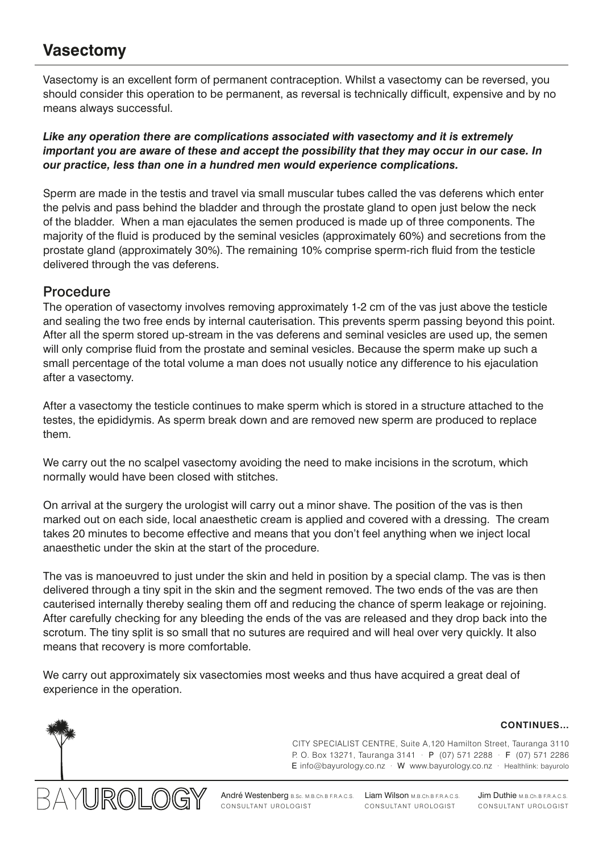# **Vasectomy**

Vasectomy is an excellent form of permanent contraception. Whilst a vasectomy can be reversed, you should consider this operation to be permanent, as reversal is technically difficult, expensive and by no means always successful.

*Like any operation there are complications associated with vasectomy and it is extremely important you are aware of these and accept the possibility that they may occur in our case. In our practice, less than one in a hundred men would experience complications.*

Sperm are made in the testis and travel via small muscular tubes called the vas deferens which enter the pelvis and pass behind the bladder and through the prostate gland to open just below the neck of the bladder. When a man ejaculates the semen produced is made up of three components. The majority of the fluid is produced by the seminal vesicles (approximately 60%) and secretions from the prostate gland (approximately 30%). The remaining 10% comprise sperm-rich fluid from the testicle delivered through the vas deferens.

# Procedure

The operation of vasectomy involves removing approximately 1-2 cm of the vas just above the testicle and sealing the two free ends by internal cauterisation. This prevents sperm passing beyond this point. After all the sperm stored up-stream in the vas deferens and seminal vesicles are used up, the semen will only comprise fluid from the prostate and seminal vesicles. Because the sperm make up such a small percentage of the total volume a man does not usually notice any difference to his ejaculation after a vasectomy.

After a vasectomy the testicle continues to make sperm which is stored in a structure attached to the testes, the epididymis. As sperm break down and are removed new sperm are produced to replace them.

We carry out the no scalpel vasectomy avoiding the need to make incisions in the scrotum, which normally would have been closed with stitches.

On arrival at the surgery the urologist will carry out a minor shave. The position of the vas is then marked out on each side, local anaesthetic cream is applied and covered with a dressing. The cream takes 20 minutes to become effective and means that you don't feel anything when we inject local anaesthetic under the skin at the start of the procedure.

The vas is manoeuvred to just under the skin and held in position by a special clamp. The vas is then delivered through a tiny spit in the skin and the segment removed. The two ends of the vas are then cauterised internally thereby sealing them off and reducing the chance of sperm leakage or rejoining. After carefully checking for any bleeding the ends of the vas are released and they drop back into the scrotum. The tiny split is so small that no sutures are required and will heal over very quickly. It also means that recovery is more comfortable.

We carry out approximately six vasectomies most weeks and thus have acquired a great deal of experience in the operation.

#### **CONTINUES…**





André Westenberg B.Sc. M.B.Ch.B F.R.A.C.S. Liam Wilson M.B.Ch.B F.R.A.C.S. Jim Duthie M.B.Ch.B F.R.A.C.S. CONSULTANT UROLOGIST CONSULTANT UROLOGIST CONSULTANT UROLOGIST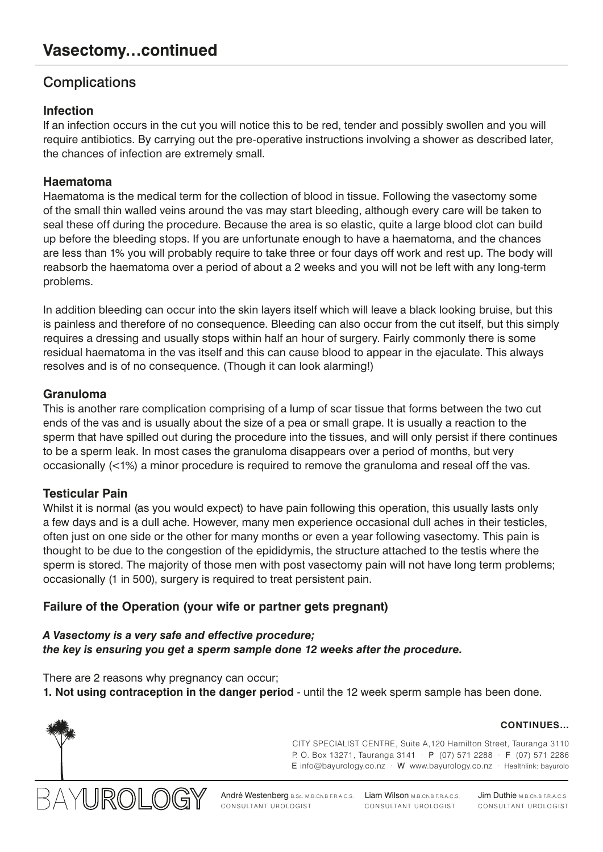# **Complications**

# **Infection**

If an infection occurs in the cut you will notice this to be red, tender and possibly swollen and you will require antibiotics. By carrying out the pre-operative instructions involving a shower as described later, the chances of infection are extremely small.

# **Haematoma**

Haematoma is the medical term for the collection of blood in tissue. Following the vasectomy some of the small thin walled veins around the vas may start bleeding, although every care will be taken to seal these off during the procedure. Because the area is so elastic, quite a large blood clot can build up before the bleeding stops. If you are unfortunate enough to have a haematoma, and the chances are less than 1% you will probably require to take three or four days off work and rest up. The body will reabsorb the haematoma over a period of about a 2 weeks and you will not be left with any long-term problems.

In addition bleeding can occur into the skin layers itself which will leave a black looking bruise, but this is painless and therefore of no consequence. Bleeding can also occur from the cut itself, but this simply requires a dressing and usually stops within half an hour of surgery. Fairly commonly there is some residual haematoma in the vas itself and this can cause blood to appear in the ejaculate. This always resolves and is of no consequence. (Though it can look alarming!)

# **Granuloma**

This is another rare complication comprising of a lump of scar tissue that forms between the two cut ends of the vas and is usually about the size of a pea or small grape. It is usually a reaction to the sperm that have spilled out during the procedure into the tissues, and will only persist if there continues to be a sperm leak. In most cases the granuloma disappears over a period of months, but very occasionally (<1%) a minor procedure is required to remove the granuloma and reseal off the vas.

# **Testicular Pain**

Whilst it is normal (as you would expect) to have pain following this operation, this usually lasts only a few days and is a dull ache. However, many men experience occasional dull aches in their testicles, often just on one side or the other for many months or even a year following vasectomy. This pain is thought to be due to the congestion of the epididymis, the structure attached to the testis where the sperm is stored. The majority of those men with post vasectomy pain will not have long term problems; occasionally (1 in 500), surgery is required to treat persistent pain.

# **Failure of the Operation (your wife or partner gets pregnant)**

*A Vasectomy is a very safe and effective procedure; the key is ensuring you get a sperm sample done 12 weeks after the procedure.*

There are 2 reasons why pregnancy can occur;

**1. Not using contraception in the danger period** - until the 12 week sperm sample has been done.



CITY SPECIALIST CENTRE, Suite A,120 Hamilton Street, Tauranga 3110 P. O. Box 13271, Tauranga 3141 · P (07) 571 2288 · F (07) 571 2286 E info@bayurology.co.nz · W www.bayurology.co.nz · Healthlink: bayurolo



André Westenberg B.Sc. M.B.Ch.B F.R.A.C.S. Liam Wilson M.B.Ch.B F.R.A.C.S. Jim Duthie M.B.Ch.B F.R.A.C.S. CONSULTANT UROLOGIST CONSULTANT UROLOGIST CONSULTANT UROLOGIST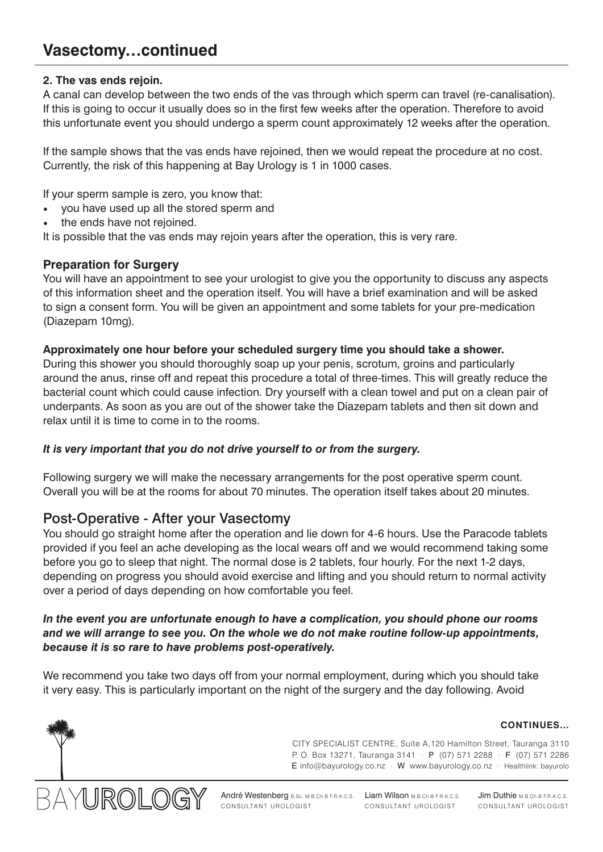### **2. The vas ends rejoin.**

A canal can develop between the two ends of the vas through which sperm can travel (re-canalisation). If this is going to occur it usually does so in the first few weeks after the operation. Therefore to avoid this unfortunate event you should undergo a sperm count approximately 12 weeks after the operation.

If the sample shows that the vas ends have rejoined, then we would repeat the procedure at no cost. Currently, the risk of this happening at Bay Urology is 1 in 1000 cases.

If your sperm sample is zero, you know that:

- you have used up all the stored sperm and
- the ends have not rejoined.

It is possible that the vas ends may rejoin years after the operation, this is very rare.

# **Preparation for Surgery**

You will have an appointment to see your urologist to give you the opportunity to discuss any aspects of this information sheet and the operation itself. You will have a brief examination and will be asked to sign a consent form. You will be given an appointment and some tablets for your pre-medication (Diazepam 10mg).

#### **Approximately one hour before your scheduled surgery time you should take a shower.**

During this shower you should thoroughly soap up your penis, scrotum, groins and particularly around the anus, rinse off and repeat this procedure a total of three-times. This will greatly reduce the bacterial count which could cause infection. Dry yourself with a clean towel and put on a clean pair of underpants. As soon as you are out of the shower take the Diazepam tablets and then sit down and relax until it is time to come in to the rooms.

#### *It is very important that you do not drive yourself to or from the surgery.*

Following surgery we will make the necessary arrangements for the post operative sperm count. Overall you will be at the rooms for about 70 minutes. The operation itself takes about 20 minutes.

# Post-Operative - After your Vasectomy

You should go straight home after the operation and lie down for 4-6 hours. Use the Paracode tablets provided if you feel an ache developing as the local wears off and we would recommend taking some before you go to sleep that night. The normal dose is 2 tablets, four hourly. For the next 1-2 days, depending on progress you should avoid exercise and lifting and you should return to normal activity over a period of days depending on how comfortable you feel.

#### *In the event you are unfortunate enough to have a complication, you should phone our rooms and we will arrange to see you. On the whole we do not make routine follow-up appointments, because it is so rare to have problems post-operatively.*

We recommend you take two days off from your normal employment, during which you should take it very easy. This is particularly important on the night of the surgery and the day following. Avoid



CITY SPECIALIST CENTRE, Suite A,120 Hamilton Street, Tauranga 3110 P. O. Box 13271, Tauranga 3141 · P (07) 571 2288 · F (07) 571 2286 E info@bayurology.co.nz · W www.bayurology.co.nz · Healthlink: bayurolo



André Westenberg B.Sc. M.B.Ch.B F.R.A.C.S. Liam Wilson M.B.Ch.B F.R.A.C.S. Jim Duthie M.B.Ch.B F.R.A.C.S. CONSULTANT UROLOGIST CONSULTANT UROLOGIST CONSULTANT UROLOGIST